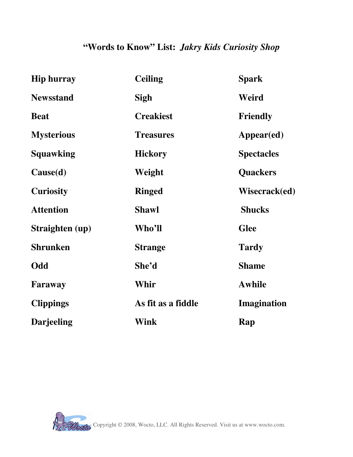## **"Words to Know" List:** *Jakry Kids Curiosity Shop*

| <b>Hip hurray</b> | <b>Ceiling</b>     | <b>Spark</b>      |
|-------------------|--------------------|-------------------|
| <b>Newsstand</b>  | <b>Sigh</b>        | Weird             |
| <b>Beat</b>       | <b>Creakiest</b>   | <b>Friendly</b>   |
| <b>Mysterious</b> | <b>Treasures</b>   | Appear(ed)        |
| <b>Squawking</b>  | <b>Hickory</b>     | <b>Spectacles</b> |
| Cause(d)          | Weight             | <b>Quackers</b>   |
| <b>Curiosity</b>  | <b>Ringed</b>      | Wisecrack(ed)     |
| <b>Attention</b>  | <b>Shawl</b>       | <b>Shucks</b>     |
| Straighten (up)   | Who'll             | <b>Glee</b>       |
| <b>Shrunken</b>   | <b>Strange</b>     | <b>Tardy</b>      |
| Odd               | She'd              | <b>Shame</b>      |
| Faraway           | Whir               | <b>Awhile</b>     |
| <b>Clippings</b>  | As fit as a fiddle | Imagination       |
| <b>Darjeeling</b> | <b>Wink</b>        | Rap               |